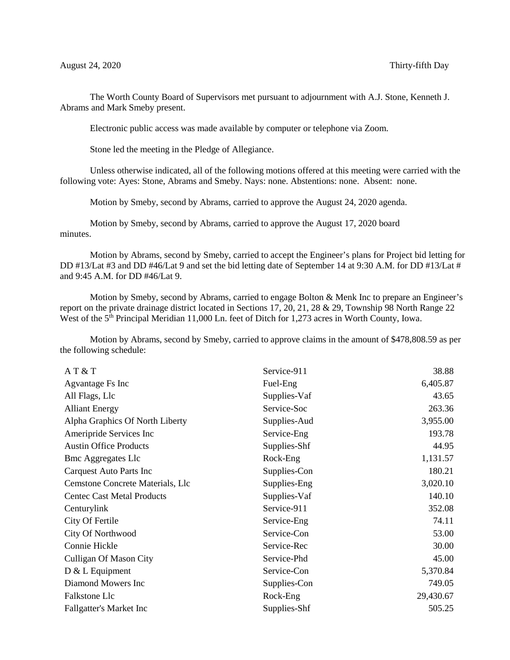The Worth County Board of Supervisors met pursuant to adjournment with A.J. Stone, Kenneth J. Abrams and Mark Smeby present.

Electronic public access was made available by computer or telephone via Zoom.

Stone led the meeting in the Pledge of Allegiance.

Unless otherwise indicated, all of the following motions offered at this meeting were carried with the following vote: Ayes: Stone, Abrams and Smeby. Nays: none. Abstentions: none. Absent: none.

Motion by Smeby, second by Abrams, carried to approve the August 24, 2020 agenda.

Motion by Smeby, second by Abrams, carried to approve the August 17, 2020 board minutes.

Motion by Abrams, second by Smeby, carried to accept the Engineer's plans for Project bid letting for DD #13/Lat #3 and DD #46/Lat 9 and set the bid letting date of September 14 at 9:30 A.M. for DD #13/Lat # and 9:45 A.M. for DD #46/Lat 9.

Motion by Smeby, second by Abrams, carried to engage Bolton & Menk Inc to prepare an Engineer's report on the private drainage district located in Sections 17, 20, 21, 28 & 29, Township 98 North Range 22 West of the  $5<sup>th</sup>$  Principal Meridian 11,000 Ln. feet of Ditch for 1,273 acres in Worth County, Iowa.

Motion by Abrams, second by Smeby, carried to approve claims in the amount of \$478,808.59 as per the following schedule:

| AT & T                            | Service-911  | 38.88     |
|-----------------------------------|--------------|-----------|
| Agvantage Fs Inc                  | Fuel-Eng     | 6,405.87  |
| All Flags, Llc                    | Supplies-Vaf | 43.65     |
| <b>Alliant Energy</b>             | Service-Soc  | 263.36    |
| Alpha Graphics Of North Liberty   | Supplies-Aud | 3,955.00  |
| Ameripride Services Inc           | Service-Eng  | 193.78    |
| <b>Austin Office Products</b>     | Supplies-Shf | 44.95     |
| <b>Bmc Aggregates Llc</b>         | Rock-Eng     | 1,131.57  |
| Carquest Auto Parts Inc           | Supplies-Con | 180.21    |
| Cemstone Concrete Materials, Llc  | Supplies-Eng | 3,020.10  |
| <b>Centec Cast Metal Products</b> | Supplies-Vaf | 140.10    |
| Centurylink                       | Service-911  | 352.08    |
| City Of Fertile                   | Service-Eng  | 74.11     |
| <b>City Of Northwood</b>          | Service-Con  | 53.00     |
| Connie Hickle                     | Service-Rec  | 30.00     |
| <b>Culligan Of Mason City</b>     | Service-Phd  | 45.00     |
| $D & L$ Equipment                 | Service-Con  | 5,370.84  |
| Diamond Mowers Inc                | Supplies-Con | 749.05    |
| Falkstone Llc                     | Rock-Eng     | 29,430.67 |
| <b>Fallgatter's Market Inc</b>    | Supplies-Shf | 505.25    |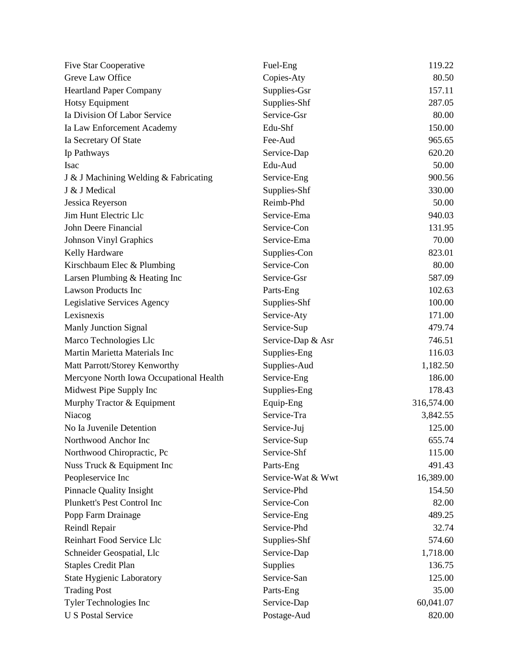| Five Star Cooperative                   | Fuel-Eng          | 119.22     |
|-----------------------------------------|-------------------|------------|
| Greve Law Office                        | Copies-Aty        | 80.50      |
| <b>Heartland Paper Company</b>          | Supplies-Gsr      | 157.11     |
| <b>Hotsy Equipment</b>                  | Supplies-Shf      | 287.05     |
| Ia Division Of Labor Service            | Service-Gsr       | 80.00      |
| Ia Law Enforcement Academy              | Edu-Shf           | 150.00     |
| Ia Secretary Of State                   | Fee-Aud           | 965.65     |
| Ip Pathways                             | Service-Dap       | 620.20     |
| <b>Isac</b>                             | Edu-Aud           | 50.00      |
| J & J Machining Welding & Fabricating   | Service-Eng       | 900.56     |
| J & J Medical                           | Supplies-Shf      | 330.00     |
| Jessica Reyerson                        | Reimb-Phd         | 50.00      |
| Jim Hunt Electric Llc                   | Service-Ema       | 940.03     |
| John Deere Financial                    | Service-Con       | 131.95     |
| <b>Johnson Vinyl Graphics</b>           | Service-Ema       | 70.00      |
| Kelly Hardware                          | Supplies-Con      | 823.01     |
| Kirschbaum Elec & Plumbing              | Service-Con       | 80.00      |
| Larsen Plumbing & Heating Inc           | Service-Gsr       | 587.09     |
| <b>Lawson Products Inc</b>              | Parts-Eng         | 102.63     |
| Legislative Services Agency             | Supplies-Shf      | 100.00     |
| Lexisnexis                              | Service-Aty       | 171.00     |
| <b>Manly Junction Signal</b>            | Service-Sup       | 479.74     |
| Marco Technologies Llc                  | Service-Dap & Asr | 746.51     |
| Martin Marietta Materials Inc           | Supplies-Eng      | 116.03     |
| Matt Parrott/Storey Kenworthy           | Supplies-Aud      | 1,182.50   |
| Mercyone North Iowa Occupational Health | Service-Eng       | 186.00     |
| Midwest Pipe Supply Inc                 | Supplies-Eng      | 178.43     |
| Murphy Tractor & Equipment              | Equip-Eng         | 316,574.00 |
| Niacog                                  | Service-Tra       | 3,842.55   |
| No Ia Juvenile Detention                | Service-Juj       | 125.00     |
| Northwood Anchor Inc                    | Service-Sup       | 655.74     |
| Northwood Chiropractic, Pc              | Service-Shf       | 115.00     |
| Nuss Truck & Equipment Inc              | Parts-Eng         | 491.43     |
| Peopleservice Inc                       | Service-Wat & Wwt | 16,389.00  |
| <b>Pinnacle Quality Insight</b>         | Service-Phd       | 154.50     |
| Plunkett's Pest Control Inc             | Service-Con       | 82.00      |
| Popp Farm Drainage                      | Service-Eng       | 489.25     |
| Reindl Repair                           | Service-Phd       | 32.74      |
| Reinhart Food Service Llc               | Supplies-Shf      | 574.60     |
| Schneider Geospatial, Llc               | Service-Dap       | 1,718.00   |
| <b>Staples Credit Plan</b>              | Supplies          | 136.75     |
| <b>State Hygienic Laboratory</b>        | Service-San       | 125.00     |
| <b>Trading Post</b>                     | Parts-Eng         | 35.00      |
| Tyler Technologies Inc                  | Service-Dap       | 60,041.07  |
| <b>U S Postal Service</b>               | Postage-Aud       | 820.00     |